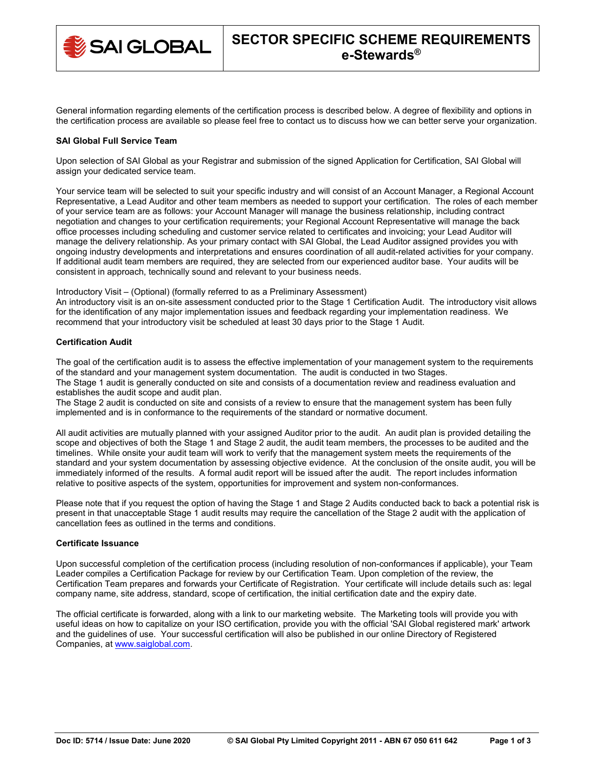

General information regarding elements of the certification process is described below. A degree of flexibility and options in the certification process are available so please feel free to contact us to discuss how we can better serve your organization.

### **SAI Global Full Service Team**

Upon selection of SAI Global as your Registrar and submission of the signed Application for Certification, SAI Global will assign your dedicated service team.

Your service team will be selected to suit your specific industry and will consist of an Account Manager, a Regional Account Representative, a Lead Auditor and other team members as needed to support your certification. The roles of each member of your service team are as follows: your Account Manager will manage the business relationship, including contract negotiation and changes to your certification requirements; your Regional Account Representative will manage the back office processes including scheduling and customer service related to certificates and invoicing; your Lead Auditor will manage the delivery relationship. As your primary contact with SAI Global, the Lead Auditor assigned provides you with ongoing industry developments and interpretations and ensures coordination of all audit-related activities for your company. If additional audit team members are required, they are selected from our experienced auditor base. Your audits will be consistent in approach, technically sound and relevant to your business needs.

Introductory Visit – (Optional) (formally referred to as a Preliminary Assessment)

An introductory visit is an on-site assessment conducted prior to the Stage 1 Certification Audit. The introductory visit allows for the identification of any major implementation issues and feedback regarding your implementation readiness. We recommend that your introductory visit be scheduled at least 30 days prior to the Stage 1 Audit.

# **Certification Audit**

The goal of the certification audit is to assess the effective implementation of your management system to the requirements of the standard and your management system documentation. The audit is conducted in two Stages. The Stage 1 audit is generally conducted on site and consists of a documentation review and readiness evaluation and establishes the audit scope and audit plan.

The Stage 2 audit is conducted on site and consists of a review to ensure that the management system has been fully implemented and is in conformance to the requirements of the standard or normative document.

All audit activities are mutually planned with your assigned Auditor prior to the audit. An audit plan is provided detailing the scope and objectives of both the Stage 1 and Stage 2 audit, the audit team members, the processes to be audited and the timelines. While onsite your audit team will work to verify that the management system meets the requirements of the standard and your system documentation by assessing objective evidence. At the conclusion of the onsite audit, you will be immediately informed of the results. A formal audit report will be issued after the audit. The report includes information relative to positive aspects of the system, opportunities for improvement and system non-conformances.

Please note that if you request the option of having the Stage 1 and Stage 2 Audits conducted back to back a potential risk is present in that unacceptable Stage 1 audit results may require the cancellation of the Stage 2 audit with the application of cancellation fees as outlined in the terms and conditions.

#### **Certificate Issuance**

Upon successful completion of the certification process (including resolution of non-conformances if applicable), your Team Leader compiles a Certification Package for review by our Certification Team. Upon completion of the review, the Certification Team prepares and forwards your Certificate of Registration. Your certificate will include details such as: legal company name, site address, standard, scope of certification, the initial certification date and the expiry date.

The official certificate is forwarded, along with a link to our marketing website. The Marketing tools will provide you with useful ideas on how to capitalize on your ISO certification, provide you with the official 'SAI Global registered mark' artwork and the guidelines of use. Your successful certification will also be published in our online Directory of Registered Companies, at [www.saiglobal.com.](http://www.saiglobal.com/)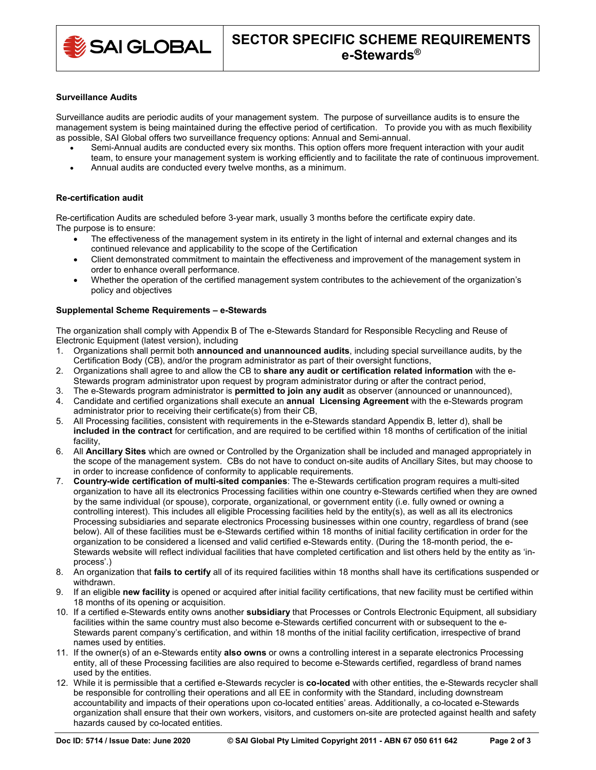

### **Surveillance Audits**

Surveillance audits are periodic audits of your management system. The purpose of surveillance audits is to ensure the management system is being maintained during the effective period of certification. To provide you with as much flexibility as possible, SAI Global offers two surveillance frequency options: Annual and Semi-annual.

- Semi-Annual audits are conducted every six months. This option offers more frequent interaction with your audit
- team, to ensure your management system is working efficiently and to facilitate the rate of continuous improvement.
- Annual audits are conducted every twelve months, as a minimum.

## **Re-certification audit**

Re-certification Audits are scheduled before 3-year mark, usually 3 months before the certificate expiry date. The purpose is to ensure:

- The effectiveness of the management system in its entirety in the light of internal and external changes and its continued relevance and applicability to the scope of the Certification
- Client demonstrated commitment to maintain the effectiveness and improvement of the management system in order to enhance overall performance.
- Whether the operation of the certified management system contributes to the achievement of the organization's policy and objectives

### **Supplemental Scheme Requirements – e-Stewards**

The organization shall comply with Appendix B of The e-Stewards Standard for Responsible Recycling and Reuse of Electronic Equipment (latest version), including

- 1. Organizations shall permit both **announced and unannounced audits**, including special surveillance audits, by the Certification Body (CB), and/or the program administrator as part of their oversight functions,
- 2. Organizations shall agree to and allow the CB to **share any audit or certification related information** with the e-Stewards program administrator upon request by program administrator during or after the contract period,
- 3. The e-Stewards program administrator is **permitted to join any audit** as observer (announced or unannounced),
- 4. Candidate and certified organizations shall execute an **annual Licensing Agreement** with the e-Stewards program administrator prior to receiving their certificate(s) from their CB,
- 5. All Processing facilities, consistent with requirements in the e-Stewards standard Appendix B, letter d), shall be **included in the contract** for certification, and are required to be certified within 18 months of certification of the initial facility,
- 6. All **Ancillary Sites** which are owned or Controlled by the Organization shall be included and managed appropriately in the scope of the management system. CBs do not have to conduct on-site audits of Ancillary Sites, but may choose to in order to increase confidence of conformity to applicable requirements.
- 7. **Country-wide certification of multi-sited companies**: The e-Stewards certification program requires a multi-sited organization to have all its electronics Processing facilities within one country e-Stewards certified when they are owned by the same individual (or spouse), corporate, organizational, or government entity (i.e. fully owned or owning a controlling interest). This includes all eligible Processing facilities held by the entity(s), as well as all its electronics Processing subsidiaries and separate electronics Processing businesses within one country, regardless of brand (see below). All of these facilities must be e-Stewards certified within 18 months of initial facility certification in order for the organization to be considered a licensed and valid certified e-Stewards entity. (During the 18-month period, the e-Stewards website will reflect individual facilities that have completed certification and list others held by the entity as 'inprocess'.)
- 8. An organization that **fails to certify** all of its required facilities within 18 months shall have its certifications suspended or withdrawn.
- 9. If an eligible **new facility** is opened or acquired after initial facility certifications, that new facility must be certified within 18 months of its opening or acquisition.
- 10. If a certified e-Stewards entity owns another **subsidiary** that Processes or Controls Electronic Equipment, all subsidiary facilities within the same country must also become e-Stewards certified concurrent with or subsequent to the e-Stewards parent company's certification, and within 18 months of the initial facility certification, irrespective of brand names used by entities.
- 11. If the owner(s) of an e-Stewards entity **also owns** or owns a controlling interest in a separate electronics Processing entity, all of these Processing facilities are also required to become e-Stewards certified, regardless of brand names used by the entities.
- 12. While it is permissible that a certified e-Stewards recycler is **co-located** with other entities, the e-Stewards recycler shall be responsible for controlling their operations and all EE in conformity with the Standard, including downstream accountability and impacts of their operations upon co-located entities' areas. Additionally, a co-located e-Stewards organization shall ensure that their own workers, visitors, and customers on-site are protected against health and safety hazards caused by co-located entities.